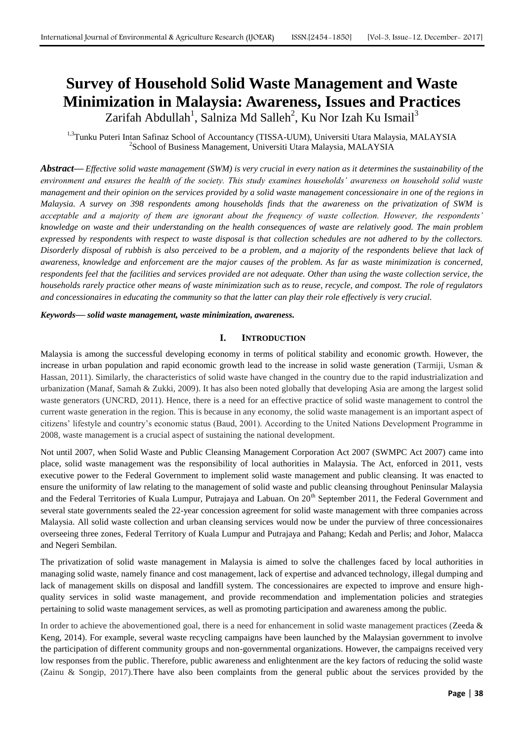# **Survey of Household Solid Waste Management and Waste Minimization in Malaysia: Awareness, Issues and Practices**

Zarifah Abdullah<sup>1</sup>, Salniza Md Salleh<sup>2</sup>, Ku Nor Izah Ku Ismail<sup>3</sup>

<sup>1,3</sup>Tunku Puteri Intan Safinaz School of Accountancy (TISSA-UUM), Universiti Utara Malaysia, MALAYSIA <sup>2</sup>School of Business Management, Universiti Utara Malaysia, MALAYSIA

*Abstract***—** *Effective solid waste management (SWM) is very crucial in every nation as it determines the sustainability of the environment and ensures the health of the society. This study examines households' awareness on household solid waste management and their opinion on the services provided by a solid waste management concessionaire in one of the regions in Malaysia. A survey on 398 respondents among households finds that the awareness on the privatization of SWM is acceptable and a majority of them are ignorant about the frequency of waste collection. However, the respondents' knowledge on waste and their understanding on the health consequences of waste are relatively good. The main problem expressed by respondents with respect to waste disposal is that collection schedules are not adhered to by the collectors. Disorderly disposal of rubbish is also perceived to be a problem, and a majority of the respondents believe that lack of awareness, knowledge and enforcement are the major causes of the problem. As far as waste minimization is concerned, respondents feel that the facilities and services provided are not adequate. Other than using the waste collection service, the households rarely practice other means of waste minimization such as to reuse, recycle, and compost. The role of regulators and concessionaires in educating the community so that the latter can play their role effectively is very crucial.*

*Keywords***—** *solid waste management, waste minimization, awareness.*

## **I. INTRODUCTION**

Malaysia is among the successful developing economy in terms of political stability and economic growth. However, the increase in urban population and rapid economic growth lead to the increase in solid waste generation (Tarmiji, Usman & Hassan, 2011). Similarly, the characteristics of solid waste have changed in the country due to the rapid industrialization and urbanization (Manaf, Samah & Zukki, 2009). It has also been noted globally that developing Asia are among the largest solid waste generators (UNCRD, 2011). Hence, there is a need for an effective practice of solid waste management to control the current waste generation in the region. This is because in any economy, the solid waste management is an important aspect of citizens' lifestyle and country's economic status (Baud, 2001). According to the United Nations Development Programme in 2008, waste management is a crucial aspect of sustaining the national development.

Not until 2007, when Solid Waste and Public Cleansing Management Corporation Act 2007 (SWMPC Act 2007) came into place, solid waste management was the responsibility of local authorities in Malaysia. The Act, enforced in 2011, vests executive power to the Federal Government to implement solid waste management and public cleansing. It was enacted to ensure the uniformity of law relating to the management of solid waste and public cleansing throughout Peninsular Malaysia and the Federal Territories of Kuala Lumpur, Putrajaya and Labuan. On  $20<sup>th</sup>$  September 2011, the Federal Government and several state governments sealed the 22-year concession agreement for solid waste management with three companies across Malaysia. All solid waste collection and urban cleansing services would now be under the purview of three concessionaires overseeing three zones, Federal Territory of Kuala Lumpur and Putrajaya and Pahang; Kedah and Perlis; and Johor, Malacca and Negeri Sembilan.

The privatization of solid waste management in Malaysia is aimed to solve the challenges faced by local authorities in managing solid waste, namely finance and cost management, lack of expertise and advanced technology, illegal dumping and lack of management skills on disposal and landfill system. The concessionaires are expected to improve and ensure highquality services in solid waste management, and provide recommendation and implementation policies and strategies pertaining to solid waste management services, as well as promoting participation and awareness among the public.

In order to achieve the abovementioned goal, there is a need for enhancement in solid waste management practices (Zeeda & Keng, 2014). For example, several waste recycling campaigns have been launched by the Malaysian government to involve the participation of different community groups and non-governmental organizations. However, the campaigns received very low responses from the public. Therefore, public awareness and enlightenment are the key factors of reducing the solid waste (Zainu & Songip, 2017).There have also been complaints from the general public about the services provided by the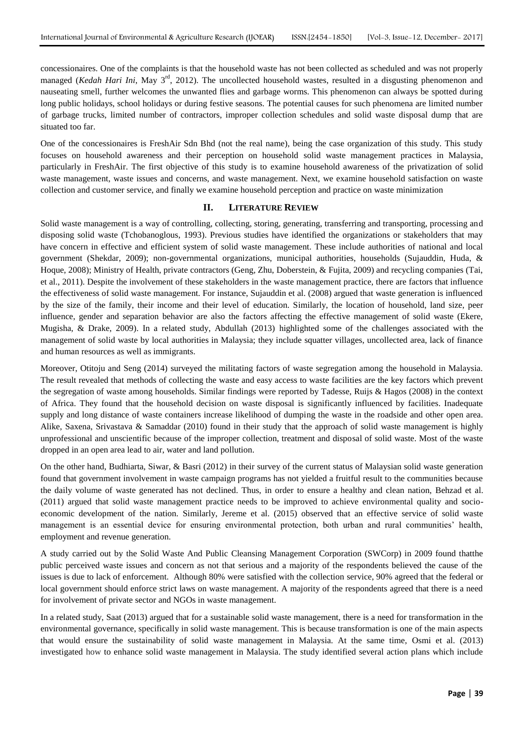concessionaires. One of the complaints is that the household waste has not been collected as scheduled and was not properly managed (*Kedah Hari Ini*, May 3<sup>rd</sup>, 2012). The uncollected household wastes, resulted in a disgusting phenomenon and nauseating smell, further welcomes the unwanted flies and garbage worms. This phenomenon can always be spotted during long public holidays, school holidays or during festive seasons. The potential causes for such phenomena are limited number of garbage trucks, limited number of contractors, improper collection schedules and solid waste disposal dump that are situated too far.

One of the concessionaires is FreshAir Sdn Bhd (not the real name), being the case organization of this study. This study focuses on household awareness and their perception on household solid waste management practices in Malaysia, particularly in FreshAir. The first objective of this study is to examine household awareness of the privatization of solid waste management, waste issues and concerns, and waste management. Next, we examine household satisfaction on waste collection and customer service, and finally we examine household perception and practice on waste minimization

#### **II. LITERATURE REVIEW**

Solid waste management is a way of controlling, collecting, storing, generating, transferring and transporting, processing and disposing solid waste (Tchobanoglous, 1993). Previous studies have identified the organizations or stakeholders that may have concern in effective and efficient system of solid waste management. These include authorities of national and local government (Shekdar, 2009); non-governmental organizations, municipal authorities, households (Sujauddin, Huda, & Hoque, 2008); Ministry of Health, private contractors (Geng, Zhu, Doberstein, & Fujita, 2009) and recycling companies (Tai, et al., 2011). Despite the involvement of these stakeholders in the waste management practice, there are factors that influence the effectiveness of solid waste management. For instance, Sujauddin et al. (2008) argued that waste generation is influenced by the size of the family, their income and their level of education. Similarly, the location of household, land size, peer influence, gender and separation behavior are also the factors affecting the effective management of solid waste (Ekere, Mugisha, & Drake, 2009). In a related study, Abdullah (2013) highlighted some of the challenges associated with the management of solid waste by local authorities in Malaysia; they include squatter villages, uncollected area, lack of finance and human resources as well as immigrants.

Moreover, Otitoju and Seng (2014) surveyed the militating factors of waste segregation among the household in Malaysia. The result revealed that methods of collecting the waste and easy access to waste facilities are the key factors which prevent the segregation of waste among households. Similar findings were reported by Tadesse, Ruijs & Hagos (2008) in the context of Africa. They found that the household decision on waste disposal is significantly influenced by facilities. Inadequate supply and long distance of waste containers increase likelihood of dumping the waste in the roadside and other open area. Alike, Saxena, Srivastava & Samaddar (2010) found in their study that the approach of solid waste management is highly unprofessional and unscientific because of the improper collection, treatment and disposal of solid waste. Most of the waste dropped in an open area lead to air, water and land pollution.

On the other hand, Budhiarta, Siwar, & Basri (2012) in their survey of the current status of Malaysian solid waste generation found that government involvement in waste campaign programs has not yielded a fruitful result to the communities because the daily volume of waste generated has not declined. Thus, in order to ensure a healthy and clean nation, Behzad et al. (2011) argued that solid waste management practice needs to be improved to achieve environmental quality and socioeconomic development of the nation. Similarly, Jereme et al. (2015) observed that an effective service of solid waste management is an essential device for ensuring environmental protection, both urban and rural communities' health, employment and revenue generation.

A study carried out by the Solid Waste And Public Cleansing Management Corporation (SWCorp) in 2009 found thatthe public perceived waste issues and concern as not that serious and a majority of the respondents believed the cause of the issues is due to lack of enforcement. Although 80% were satisfied with the collection service, 90% agreed that the federal or local government should enforce strict laws on waste management. A majority of the respondents agreed that there is a need for involvement of private sector and NGOs in waste management.

In a related study, Saat (2013) argued that for a sustainable solid waste management, there is a need for transformation in the environmental governance, specifically in solid waste management. This is because transformation is one of the main aspects that would ensure the sustainability of solid waste management in Malaysia. At the same time, Osmi et al. (2013) investigated how to enhance solid waste management in Malaysia. The study identified several action plans which include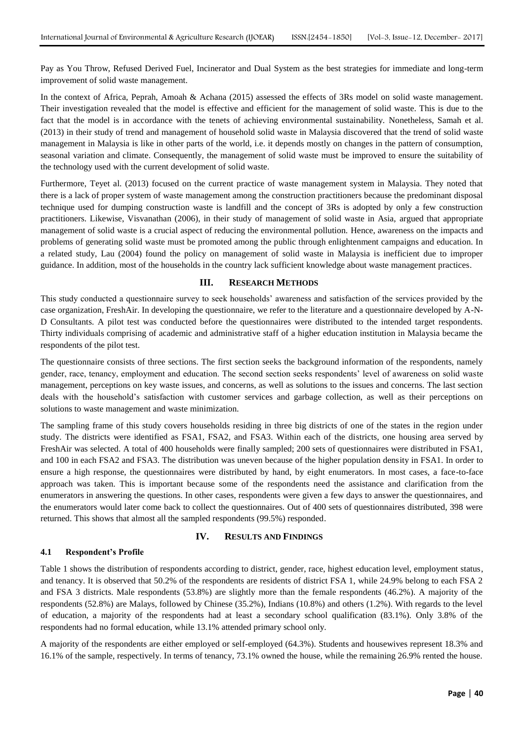Pay as You Throw, Refused Derived Fuel, Incinerator and Dual System as the best strategies for immediate and long-term improvement of solid waste management.

In the context of Africa, Peprah, Amoah & Achana (2015) assessed the effects of 3Rs model on solid waste management. Their investigation revealed that the model is effective and efficient for the management of solid waste. This is due to the fact that the model is in accordance with the tenets of achieving environmental sustainability. Nonetheless, Samah et al. (2013) in their study of trend and management of household solid waste in Malaysia discovered that the trend of solid waste management in Malaysia is like in other parts of the world, i.e. it depends mostly on changes in the pattern of consumption, seasonal variation and climate. Consequently, the management of solid waste must be improved to ensure the suitability of the technology used with the current development of solid waste.

Furthermore, Teyet al. (2013) focused on the current practice of waste management system in Malaysia. They noted that there is a lack of proper system of waste management among the construction practitioners because the predominant disposal technique used for dumping construction waste is landfill and the concept of 3Rs is adopted by only a few construction practitioners. Likewise, Visvanathan (2006), in their study of management of solid waste in Asia, argued that appropriate management of solid waste is a crucial aspect of reducing the environmental pollution. Hence, awareness on the impacts and problems of generating solid waste must be promoted among the public through enlightenment campaigns and education. In a related study, Lau (2004) found the policy on management of solid waste in Malaysia is inefficient due to improper guidance. In addition, most of the households in the country lack sufficient knowledge about waste management practices.

## **III. RESEARCH METHODS**

This study conducted a questionnaire survey to seek households' awareness and satisfaction of the services provided by the case organization, FreshAir. In developing the questionnaire, we refer to the literature and a questionnaire developed by A-N-D Consultants. A pilot test was conducted before the questionnaires were distributed to the intended target respondents. Thirty individuals comprising of academic and administrative staff of a higher education institution in Malaysia became the respondents of the pilot test.

The questionnaire consists of three sections. The first section seeks the background information of the respondents, namely gender, race, tenancy, employment and education. The second section seeks respondents' level of awareness on solid waste management, perceptions on key waste issues, and concerns, as well as solutions to the issues and concerns. The last section deals with the household's satisfaction with customer services and garbage collection, as well as their perceptions on solutions to waste management and waste minimization.

The sampling frame of this study covers households residing in three big districts of one of the states in the region under study. The districts were identified as FSA1, FSA2, and FSA3. Within each of the districts, one housing area served by FreshAir was selected. A total of 400 households were finally sampled; 200 sets of questionnaires were distributed in FSA1, and 100 in each FSA2 and FSA3. The distribution was uneven because of the higher population density in FSA1. In order to ensure a high response, the questionnaires were distributed by hand, by eight enumerators. In most cases, a face-to-face approach was taken. This is important because some of the respondents need the assistance and clarification from the enumerators in answering the questions. In other cases, respondents were given a few days to answer the questionnaires, and the enumerators would later come back to collect the questionnaires. Out of 400 sets of questionnaires distributed, 398 were returned. This shows that almost all the sampled respondents (99.5%) responded.

## **IV. RESULTS AND FINDINGS**

## **4.1 Respondent's Profile**

Table 1 shows the distribution of respondents according to district, gender, race, highest education level, employment status, and tenancy. It is observed that 50.2% of the respondents are residents of district FSA 1, while 24.9% belong to each FSA 2 and FSA 3 districts. Male respondents (53.8%) are slightly more than the female respondents (46.2%). A majority of the respondents (52.8%) are Malays, followed by Chinese (35.2%), Indians (10.8%) and others (1.2%). With regards to the level of education, a majority of the respondents had at least a secondary school qualification (83.1%). Only 3.8% of the respondents had no formal education, while 13.1% attended primary school only.

A majority of the respondents are either employed or self-employed (64.3%). Students and housewives represent 18.3% and 16.1% of the sample, respectively. In terms of tenancy, 73.1% owned the house, while the remaining 26.9% rented the house.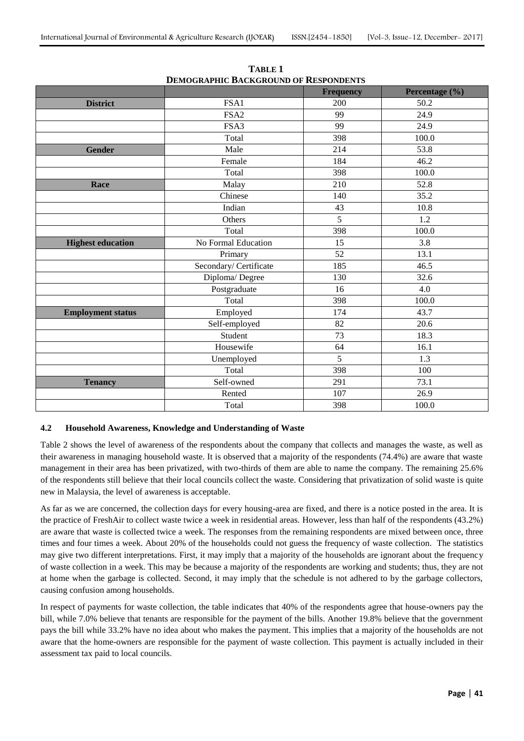|                          |                        | <b>Frequency</b> | Percentage (%) |  |
|--------------------------|------------------------|------------------|----------------|--|
| <b>District</b>          | FSA1                   | 200              | 50.2           |  |
|                          | FSA <sub>2</sub>       | 99               | 24.9           |  |
|                          | FSA3                   | 99               | 24.9           |  |
|                          | Total                  | 398              | 100.0          |  |
| <b>Gender</b>            | Male                   | 214              | 53.8           |  |
|                          | Female                 | 184              | 46.2           |  |
|                          | Total                  | 398              | 100.0          |  |
| Race                     | Malay                  | 210              | 52.8           |  |
|                          | Chinese                | 140              | 35.2           |  |
|                          | Indian                 | 43               | 10.8           |  |
|                          | Others                 | 5                | $1.2\,$        |  |
|                          | Total                  | 398              | 100.0          |  |
| <b>Highest education</b> | No Formal Education    | 15               | 3.8            |  |
|                          | Primary                | 52               | 13.1           |  |
|                          | Secondary/ Certificate | 185              | 46.5           |  |
|                          | Diploma/Degree         | 130              | 32.6           |  |
|                          | Postgraduate           | 16               | 4.0            |  |
|                          | Total                  | 398              | 100.0          |  |
| <b>Employment status</b> | Employed               | 174              | 43.7           |  |
|                          | Self-employed          | 82               | 20.6           |  |
|                          | Student                | 73               | 18.3           |  |
|                          | Housewife              | 64               | 16.1           |  |
|                          | Unemployed             | 5                | 1.3            |  |
|                          | Total                  | 398              | 100            |  |
| <b>Tenancy</b>           | Self-owned             | 291              | 73.1           |  |
|                          | Rented                 | 107              | 26.9           |  |
|                          | Total                  | 398              | 100.0          |  |

**TABLE 1 DEMOGRAPHIC BACKGROUND OF RESPONDENTS**

# **4.2 Household Awareness, Knowledge and Understanding of Waste**

Table 2 shows the level of awareness of the respondents about the company that collects and manages the waste, as well as their awareness in managing household waste. It is observed that a majority of the respondents (74.4%) are aware that waste management in their area has been privatized, with two-thirds of them are able to name the company. The remaining 25.6% of the respondents still believe that their local councils collect the waste. Considering that privatization of solid waste is quite new in Malaysia, the level of awareness is acceptable.

As far as we are concerned, the collection days for every housing-area are fixed, and there is a notice posted in the area. It is the practice of FreshAir to collect waste twice a week in residential areas. However, less than half of the respondents (43.2%) are aware that waste is collected twice a week. The responses from the remaining respondents are mixed between once, three times and four times a week. About 20% of the households could not guess the frequency of waste collection. The statistics may give two different interpretations. First, it may imply that a majority of the households are ignorant about the frequency of waste collection in a week. This may be because a majority of the respondents are working and students; thus, they are not at home when the garbage is collected. Second, it may imply that the schedule is not adhered to by the garbage collectors, causing confusion among households.

In respect of payments for waste collection, the table indicates that 40% of the respondents agree that house-owners pay the bill, while 7.0% believe that tenants are responsible for the payment of the bills. Another 19.8% believe that the government pays the bill while 33.2% have no idea about who makes the payment. This implies that a majority of the households are not aware that the home-owners are responsible for the payment of waste collection. This payment is actually included in their assessment tax paid to local councils.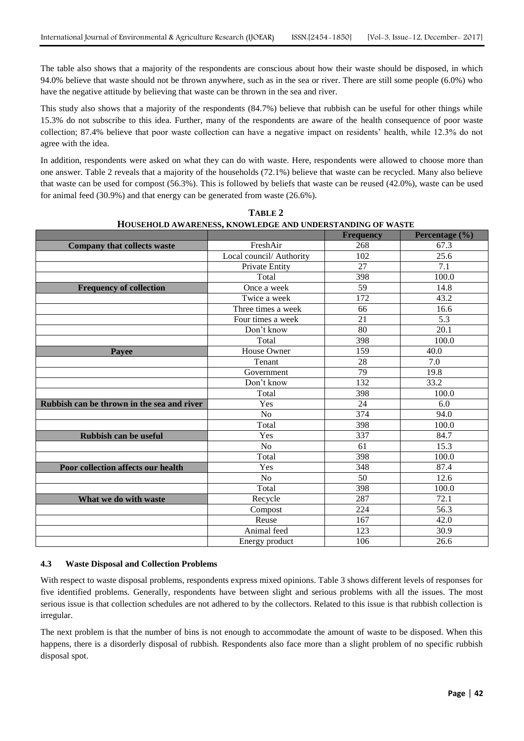The table also shows that a majority of the respondents are conscious about how their waste should be disposed, in which 94.0% believe that waste should not be thrown anywhere, such as in the sea or river. There are still some people (6.0%) who have the negative attitude by believing that waste can be thrown in the sea and river.

This study also shows that a majority of the respondents (84.7%) believe that rubbish can be useful for other things while 15.3% do not subscribe to this idea. Further, many of the respondents are aware of the health consequence of poor waste collection; 87.4% believe that poor waste collection can have a negative impact on residents' health, while 12.3% do not agree with the idea.

In addition, respondents were asked on what they can do with waste. Here, respondents were allowed to choose more than one answer. Table 2 reveals that a majority of the households (72.1%) believe that waste can be recycled. Many also believe that waste can be used for compost (56.3%). This is followed by beliefs that waste can be reused (42.0%), waste can be used for animal feed (30.9%) and that energy can be generated from waste (26.6%).

|                                            |                          | <b>Frequency</b> | Percentage (%)    |
|--------------------------------------------|--------------------------|------------------|-------------------|
| <b>Company that collects waste</b>         | FreshAir                 | 268              | 67.3              |
|                                            | Local council/ Authority | 102              | 25.6              |
|                                            | Private Entity           | 27               | 7.1               |
|                                            | Total                    | 398              | 100.0             |
| <b>Frequency of collection</b>             | Once a week              | 59               | 14.8              |
|                                            | Twice a week             | 172              | 43.2              |
|                                            | Three times a week       | 66               | 16.6              |
|                                            | Four times a week        | 21               | 5.3               |
|                                            | Don't know               | 80               | 20.1              |
|                                            | Total                    | 398              | 100.0             |
| Payee                                      | House Owner              | 159              | 40.0              |
|                                            | Tenant                   | 28               | 7.0               |
|                                            | Government               | 79               | 19.8              |
|                                            | Don't know               | 132              | 33.2              |
|                                            | Total                    | 398              | 100.0             |
| Rubbish can be thrown in the sea and river | Yes                      | 24               | 6.0               |
|                                            | N <sub>o</sub>           | 374              | 94.0              |
|                                            | Total                    | 398              | 100.0             |
| Rubbish can be useful                      | Yes                      | 337              | 84.7              |
|                                            | N <sub>o</sub>           | 61               | 15.3              |
|                                            | Total                    | 398              | 100.0             |
| Poor collection affects our health         | Yes                      | 348              | 87.4              |
|                                            | N <sub>o</sub>           | $\overline{50}$  | 12.6              |
|                                            | Total                    | 398              | 100.0             |
| What we do with waste                      | Recycle                  | 287              | 72.1              |
|                                            | Compost                  | 224              | $\overline{56.3}$ |
|                                            | Reuse                    | 167              | 42.0              |
|                                            | Animal feed              | 123              | 30.9              |
|                                            | Energy product           | 106              | 26.6              |

| TABLE 2                                                   |
|-----------------------------------------------------------|
| HOUSEHOLD AWARENESS, KNOWLEDGE AND UNDERSTANDING OF WASTE |

# **4.3 Waste Disposal and Collection Problems**

With respect to waste disposal problems, respondents express mixed opinions. Table 3 shows different levels of responses for five identified problems. Generally, respondents have between slight and serious problems with all the issues. The most serious issue is that collection schedules are not adhered to by the collectors. Related to this issue is that rubbish collection is irregular.

The next problem is that the number of bins is not enough to accommodate the amount of waste to be disposed. When this happens, there is a disorderly disposal of rubbish. Respondents also face more than a slight problem of no specific rubbish disposal spot.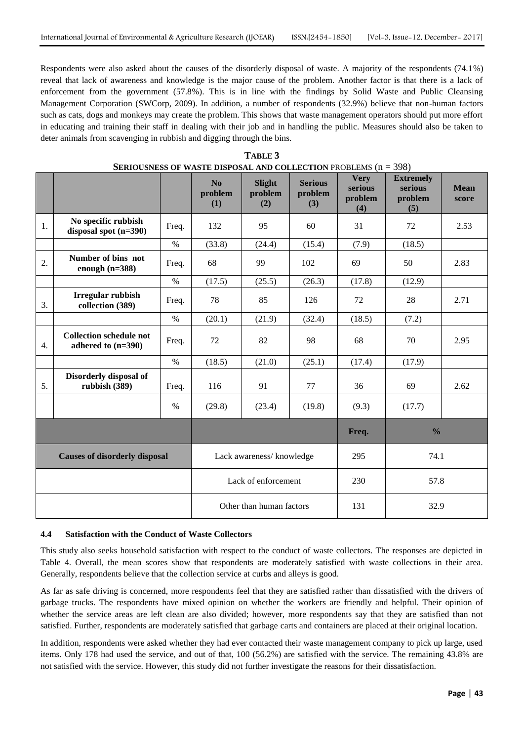Respondents were also asked about the causes of the disorderly disposal of waste. A majority of the respondents (74.1%) reveal that lack of awareness and knowledge is the major cause of the problem. Another factor is that there is a lack of enforcement from the government (57.8%). This is in line with the findings by Solid Waste and Public Cleansing Management Corporation (SWCorp, 2009). In addition, a number of respondents (32.9%) believe that non-human factors such as cats, dogs and monkeys may create the problem. This shows that waste management operators should put more effort in educating and training their staff in dealing with their job and in handling the public. Measures should also be taken to deter animals from scavenging in rubbish and digging through the bins.

|    |                                                      |       | No.<br>problem<br>(1)    | <b>Slight</b><br>problem<br>(2) | <b>Serious</b><br>problem<br>(3) | <b>Very</b><br>serious<br>problem<br>(4) | <b>Extremely</b><br>serious<br>problem<br>(5) | <b>Mean</b><br>score |
|----|------------------------------------------------------|-------|--------------------------|---------------------------------|----------------------------------|------------------------------------------|-----------------------------------------------|----------------------|
| 1. | No specific rubbish<br>disposal spot $(n=390)$       | Freq. | 132                      | 95                              | 60                               | 31                                       | 72                                            | 2.53                 |
|    |                                                      | $\%$  | (33.8)                   | (24.4)                          | (15.4)                           | (7.9)                                    | (18.5)                                        |                      |
| 2. | Number of bins not<br>enough $(n=388)$               | Freq. | 68                       | 99                              | 102                              | 69                                       | 50                                            | 2.83                 |
|    |                                                      | $\%$  | (17.5)                   | (25.5)                          | (26.3)                           | (17.8)                                   | (12.9)                                        |                      |
| 3. | Irregular rubbish<br>collection (389)                | Freq. | 78                       | 85                              | 126                              | 72                                       | 28                                            | 2.71                 |
|    |                                                      | $\%$  | (20.1)                   | (21.9)                          | (32.4)                           | (18.5)                                   | (7.2)                                         |                      |
| 4. | <b>Collection schedule not</b><br>adhered to (n=390) | Freq. | 72                       | 82                              | 98                               | 68                                       | 70                                            | 2.95                 |
|    |                                                      | $\%$  | (18.5)                   | (21.0)                          | (25.1)                           | (17.4)                                   | (17.9)                                        |                      |
| 5. | Disorderly disposal of<br>rubbish (389)              | Freq. | 116                      | 91                              | 77                               | 36                                       | 69                                            | 2.62                 |
|    |                                                      | $\%$  | (29.8)                   | (23.4)                          | (19.8)                           | (9.3)                                    | (17.7)                                        |                      |
|    |                                                      |       |                          |                                 |                                  | Freq.                                    | $\frac{0}{0}$                                 |                      |
|    | <b>Causes of disorderly disposal</b>                 |       | Lack awareness/knowledge |                                 |                                  | 295                                      | 74.1                                          |                      |
|    |                                                      |       | Lack of enforcement      |                                 | 230                              | 57.8                                     |                                               |                      |
|    |                                                      |       |                          | Other than human factors        |                                  | 131                                      | 32.9                                          |                      |

| TABLE 3                                                                             |
|-------------------------------------------------------------------------------------|
| <b>SERIOUSNESS OF WASTE DISPOSAL AND COLLECTION PROBLEMS <math>(n = 398)</math></b> |

## **4.4 Satisfaction with the Conduct of Waste Collectors**

This study also seeks household satisfaction with respect to the conduct of waste collectors. The responses are depicted in Table 4. Overall, the mean scores show that respondents are moderately satisfied with waste collections in their area. Generally, respondents believe that the collection service at curbs and alleys is good.

As far as safe driving is concerned, more respondents feel that they are satisfied rather than dissatisfied with the drivers of garbage trucks. The respondents have mixed opinion on whether the workers are friendly and helpful. Their opinion of whether the service areas are left clean are also divided; however, more respondents say that they are satisfied than not satisfied. Further, respondents are moderately satisfied that garbage carts and containers are placed at their original location.

In addition, respondents were asked whether they had ever contacted their waste management company to pick up large, used items. Only 178 had used the service, and out of that, 100 (56.2%) are satisfied with the service. The remaining 43.8% are not satisfied with the service. However, this study did not further investigate the reasons for their dissatisfaction.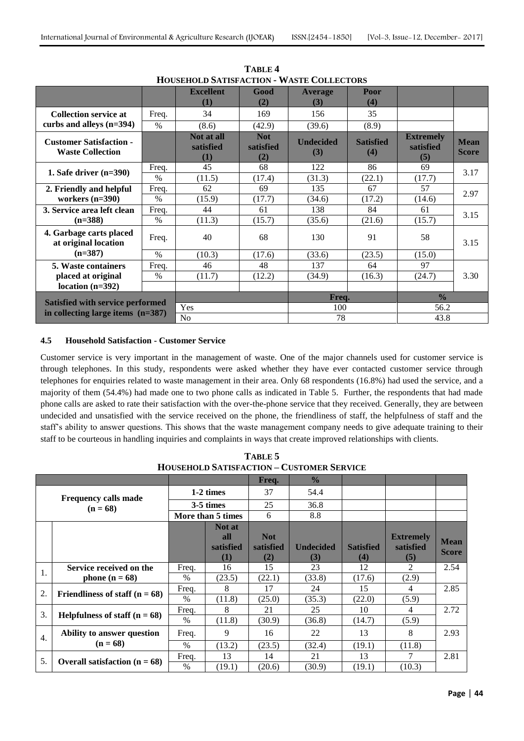|                                                           |       | HOUSEHOLD SATISFACTION - WASTE COLLECTORS |                                |                         |                         |                                      |                             |
|-----------------------------------------------------------|-------|-------------------------------------------|--------------------------------|-------------------------|-------------------------|--------------------------------------|-----------------------------|
|                                                           |       | <b>Excellent</b>                          | Good                           | <b>Average</b>          | Poor                    |                                      |                             |
|                                                           |       | $\bf(1)$                                  | (2)                            | (3)                     | (4)                     |                                      |                             |
| <b>Collection service at</b>                              | Freq. | 34                                        | 169                            | 156                     | 35                      |                                      |                             |
| curbs and alleys $(n=394)$                                | $\%$  | (8.6)                                     | (42.9)                         | (39.6)                  | (8.9)                   |                                      |                             |
| <b>Customer Satisfaction -</b><br><b>Waste Collection</b> |       | Not at all<br>satisfied<br>(1)            | <b>Not</b><br>satisfied<br>(2) | <b>Undecided</b><br>(3) | <b>Satisfied</b><br>(4) | <b>Extremely</b><br>satisfied<br>(5) | <b>Mean</b><br><b>Score</b> |
|                                                           | Freq. | 45                                        | 68                             | 122                     | 86                      | 69                                   |                             |
| 1. Safe driver $(n=390)$                                  | $\%$  | (11.5)                                    | (17.4)                         | (31.3)                  | (22.1)                  | (17.7)                               | 3.17                        |
| 2. Friendly and helpful                                   | Freq. | 62                                        | 69                             | 135                     | 67                      | 57                                   | 2.97                        |
| workers $(n=390)$                                         | $\%$  | (15.9)                                    | (17.7)                         | (34.6)                  | (17.2)                  | (14.6)                               |                             |
| 3. Service area left clean                                | Freq. | 44                                        | 61                             | 138                     | 84                      | 61                                   | 3.15                        |
| $(n=388)$                                                 | $\%$  | (11.3)                                    | (15.7)                         | (35.6)                  | (21.6)                  | (15.7)                               |                             |
| 4. Garbage carts placed<br>at original location           | Freq. | 40                                        | 68                             | 130                     | 91                      | 58                                   | 3.15                        |
| $(n=387)$                                                 | $\%$  | (10.3)                                    | (17.6)                         | (33.6)                  | (23.5)                  | (15.0)                               |                             |
| <b>5. Waste containers</b>                                | Freq. | 46                                        | 48                             | 137                     | 64                      | 97                                   |                             |
| placed at original                                        | $\%$  | (11.7)                                    | (12.2)                         | (34.9)                  | (16.3)                  | (24.7)                               | 3.30                        |
| location $(n=392)$                                        |       |                                           |                                |                         |                         |                                      |                             |
| Satisfied with service performed                          |       |                                           |                                | Freq.                   |                         | $\frac{0}{0}$                        |                             |
|                                                           |       | Yes                                       |                                | 100                     |                         | 56.2                                 |                             |
| in collecting large items $(n=387)$                       |       | No                                        |                                | 78                      |                         | 43.8                                 |                             |

**TABLE 4 HOUSEHOLD SATISFACTION - WASTE COLLECTORS**

## **4.5 Household Satisfaction - Customer Service**

Customer service is very important in the management of waste. One of the major channels used for customer service is through telephones. In this study, respondents were asked whether they have ever contacted customer service through telephones for enquiries related to waste management in their area. Only 68 respondents (16.8%) had used the service, and a majority of them (54.4%) had made one to two phone calls as indicated in Table 5. Further, the respondents that had made phone calls are asked to rate their satisfaction with the over-the-phone service that they received. Generally, they are between undecided and unsatisfied with the service received on the phone, the friendliness of staff, the helpfulness of staff and the staff's ability to answer questions. This shows that the waste management company needs to give adequate training to their staff to be courteous in handling inquiries and complaints in ways that create improved relationships with clients.

|                  | HOUSEHOLD SATISFACTION – CUSTOMER SERVICE |           |                   |            |                  |                  |                  |              |
|------------------|-------------------------------------------|-----------|-------------------|------------|------------------|------------------|------------------|--------------|
|                  |                                           |           |                   | Freq.      | $\frac{0}{0}$    |                  |                  |              |
|                  | <b>Frequency calls made</b>               | 1-2 times |                   | 37         | 54.4             |                  |                  |              |
|                  | $(n = 68)$                                |           | 3-5 times         | 25         | 36.8             |                  |                  |              |
|                  |                                           |           | More than 5 times | 6          | 8.8              |                  |                  |              |
|                  |                                           |           | Not at            |            |                  |                  |                  |              |
|                  |                                           |           | all               | <b>Not</b> |                  |                  | <b>Extremely</b> | Mean         |
|                  |                                           |           | satisfied         | satisfied  | <b>Undecided</b> | <b>Satisfied</b> | satisfied        | <b>Score</b> |
|                  |                                           |           | (1)               | (2)        | (3)              | (4)              | (5)              |              |
| 1.               | Service received on the                   | Freq.     | 16                | 15         | 23               | 12               | 2                | 2.54         |
|                  | phone $(n = 68)$                          | $\%$      | (23.5)            | (22.1)     | (33.8)           | (17.6)           | (2.9)            |              |
| 2.               | Friendliness of staff $(n = 68)$          | Freq.     | 8                 | 17         | 24               | 15               | 4                | 2.85         |
|                  |                                           | $\%$      | (11.8)            | (25.0)     | (35.3)           | (22.0)           | (5.9)            |              |
| 3.               | Helpfulness of staff $(n = 68)$           | Freq.     | 8                 | 21         | 25               | 10               | 4                | 2.72         |
|                  |                                           | $\%$      | (11.8)            | (30.9)     | (36.8)           | (14.7)           | (5.9)            |              |
| $\overline{4}$ . | Ability to answer question                | Freq.     | 9                 | 16         | 22               | 13               | 8                | 2.93         |
|                  | $(n = 68)$                                | $\%$      | (13.2)            | (23.5)     | (32.4)           | (19.1)           | (11.8)           |              |
| 5.               |                                           | Freq.     | 13                | 14         | 21               | 13               |                  | 2.81         |
|                  | Overall satisfaction $(n = 68)$           | $\%$      | (19.1)            | (20.6)     | (30.9)           | (19.1)           | (10.3)           |              |

**TABLE 5 HOUSEHOLD SATISFACTION – CUSTOMER SERVICE**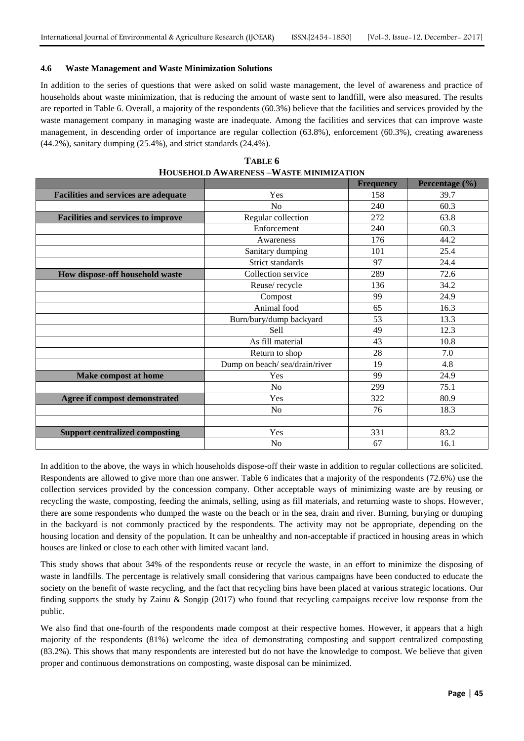#### **4.6 Waste Management and Waste Minimization Solutions**

In addition to the series of questions that were asked on solid waste management, the level of awareness and practice of households about waste minimization, that is reducing the amount of waste sent to landfill, were also measured. The results are reported in Table 6. Overall, a majority of the respondents (60.3%) believe that the facilities and services provided by the waste management company in managing waste are inadequate. Among the facilities and services that can improve waste management, in descending order of importance are regular collection (63.8%), enforcement (60.3%), creating awareness (44.2%), sanitary dumping (25.4%), and strict standards (24.4%).

|                                             |                               | <b>Frequency</b> | Percentage (%) |
|---------------------------------------------|-------------------------------|------------------|----------------|
| <b>Facilities and services are adequate</b> | Yes                           | 158              | 39.7           |
|                                             | No                            | 240              | 60.3           |
| <b>Facilities and services to improve</b>   | Regular collection            | 272              | 63.8           |
|                                             | Enforcement                   | 240              | 60.3           |
|                                             | Awareness                     | 176              | 44.2           |
|                                             | Sanitary dumping              | 101              | 25.4           |
|                                             | Strict standards              | 97               | 24.4           |
| How dispose-off household waste             | Collection service            | 289              | 72.6           |
|                                             | Reuse/recycle                 | 136              | 34.2           |
|                                             | Compost                       | 99               | 24.9           |
|                                             | Animal food                   | 65               | 16.3           |
|                                             | Burn/bury/dump backyard       | 53               | 13.3           |
|                                             | Sell                          | 49               | 12.3           |
|                                             | As fill material              | 43               | 10.8           |
|                                             | Return to shop                | 28               | 7.0            |
|                                             | Dump on beach/sea/drain/river | 19               | 4.8            |
| Make compost at home                        | Yes                           | 99               | 24.9           |
|                                             | No                            | 299              | 75.1           |
| Agree if compost demonstrated               | Yes                           | 322              | 80.9           |
|                                             | N <sub>o</sub>                | 76               | 18.3           |
|                                             |                               |                  |                |
| <b>Support centralized composting</b>       | Yes                           | 331              | 83.2           |
|                                             | N <sub>o</sub>                | 67               | 16.1           |

| TABLE 6                                        |
|------------------------------------------------|
| <b>HOUSEHOLD AWARENESS -WASTE MINIMIZATION</b> |

In addition to the above, the ways in which households dispose-off their waste in addition to regular collections are solicited. Respondents are allowed to give more than one answer. Table 6 indicates that a majority of the respondents (72.6%) use the collection services provided by the concession company. Other acceptable ways of minimizing waste are by reusing or recycling the waste, composting, feeding the animals, selling, using as fill materials, and returning waste to shops. However, there are some respondents who dumped the waste on the beach or in the sea, drain and river. Burning, burying or dumping in the backyard is not commonly practiced by the respondents. The activity may not be appropriate, depending on the housing location and density of the population. It can be unhealthy and non-acceptable if practiced in housing areas in which houses are linked or close to each other with limited vacant land.

This study shows that about 34% of the respondents reuse or recycle the waste, in an effort to minimize the disposing of waste in landfills. The percentage is relatively small considering that various campaigns have been conducted to educate the society on the benefit of waste recycling, and the fact that recycling bins have been placed at various strategic locations. Our finding supports the study by Zainu & Songip (2017) who found that recycling campaigns receive low response from the public.

We also find that one-fourth of the respondents made compost at their respective homes. However, it appears that a high majority of the respondents (81%) welcome the idea of demonstrating composting and support centralized composting (83.2%). This shows that many respondents are interested but do not have the knowledge to compost. We believe that given proper and continuous demonstrations on composting, waste disposal can be minimized.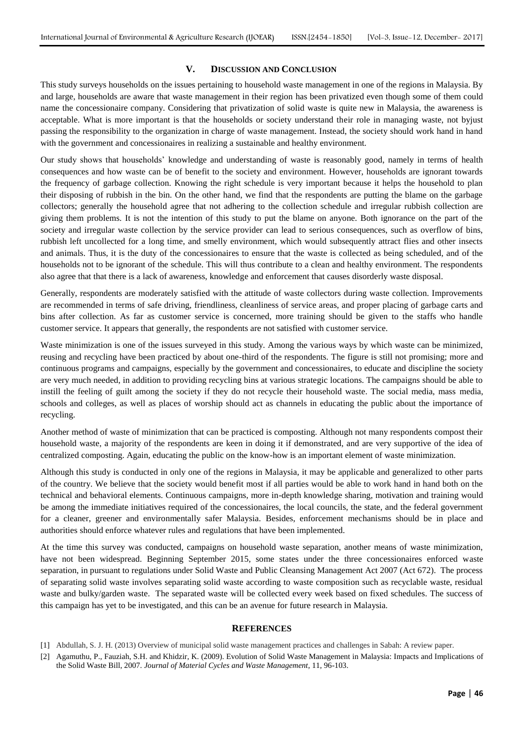#### **V. DISCUSSION AND CONCLUSION**

This study surveys households on the issues pertaining to household waste management in one of the regions in Malaysia. By and large, households are aware that waste management in their region has been privatized even though some of them could name the concessionaire company. Considering that privatization of solid waste is quite new in Malaysia, the awareness is acceptable. What is more important is that the households or society understand their role in managing waste, not byjust passing the responsibility to the organization in charge of waste management. Instead, the society should work hand in hand with the government and concessionaires in realizing a sustainable and healthy environment.

Our study shows that households' knowledge and understanding of waste is reasonably good, namely in terms of health consequences and how waste can be of benefit to the society and environment. However, households are ignorant towards the frequency of garbage collection. Knowing the right schedule is very important because it helps the household to plan their disposing of rubbish in the bin. On the other hand, we find that the respondents are putting the blame on the garbage collectors; generally the household agree that not adhering to the collection schedule and irregular rubbish collection are giving them problems. It is not the intention of this study to put the blame on anyone. Both ignorance on the part of the society and irregular waste collection by the service provider can lead to serious consequences, such as overflow of bins, rubbish left uncollected for a long time, and smelly environment, which would subsequently attract flies and other insects and animals. Thus, it is the duty of the concessionaires to ensure that the waste is collected as being scheduled, and of the households not to be ignorant of the schedule. This will thus contribute to a clean and healthy environment. The respondents also agree that that there is a lack of awareness, knowledge and enforcement that causes disorderly waste disposal.

Generally, respondents are moderately satisfied with the attitude of waste collectors during waste collection. Improvements are recommended in terms of safe driving, friendliness, cleanliness of service areas, and proper placing of garbage carts and bins after collection. As far as customer service is concerned, more training should be given to the staffs who handle customer service. It appears that generally, the respondents are not satisfied with customer service.

Waste minimization is one of the issues surveyed in this study. Among the various ways by which waste can be minimized, reusing and recycling have been practiced by about one-third of the respondents. The figure is still not promising; more and continuous programs and campaigns, especially by the government and concessionaires, to educate and discipline the society are very much needed, in addition to providing recycling bins at various strategic locations. The campaigns should be able to instill the feeling of guilt among the society if they do not recycle their household waste. The social media, mass media, schools and colleges, as well as places of worship should act as channels in educating the public about the importance of recycling.

Another method of waste of minimization that can be practiced is composting. Although not many respondents compost their household waste, a majority of the respondents are keen in doing it if demonstrated, and are very supportive of the idea of centralized composting. Again, educating the public on the know-how is an important element of waste minimization.

Although this study is conducted in only one of the regions in Malaysia, it may be applicable and generalized to other parts of the country. We believe that the society would benefit most if all parties would be able to work hand in hand both on the technical and behavioral elements. Continuous campaigns, more in-depth knowledge sharing, motivation and training would be among the immediate initiatives required of the concessionaires, the local councils, the state, and the federal government for a cleaner, greener and environmentally safer Malaysia. Besides, enforcement mechanisms should be in place and authorities should enforce whatever rules and regulations that have been implemented.

At the time this survey was conducted, campaigns on household waste separation, another means of waste minimization, have not been widespread. Beginning September 2015, some states under the three concessionaires enforced waste separation, in pursuant to regulations under Solid Waste and Public Cleansing Management Act 2007 (Act 672). The process of separating solid waste involves separating solid waste according to waste composition such as recyclable waste, residual waste and bulky/garden waste. The separated waste will be collected every week based on fixed schedules. The success of this campaign has yet to be investigated, and this can be an avenue for future research in Malaysia.

#### **REFERENCES**

- [1] Abdullah, S. J. H. (2013) Overview of municipal solid waste management practices and challenges in Sabah: A review paper.
- [2] Agamuthu, P., Fauziah, S.H. and Khidzir, K. (2009). Evolution of Solid Waste Management in Malaysia: Impacts and Implications of the Solid Waste Bill, 2007. *Journal of Material Cycles and Waste Management*, 11, 96-103.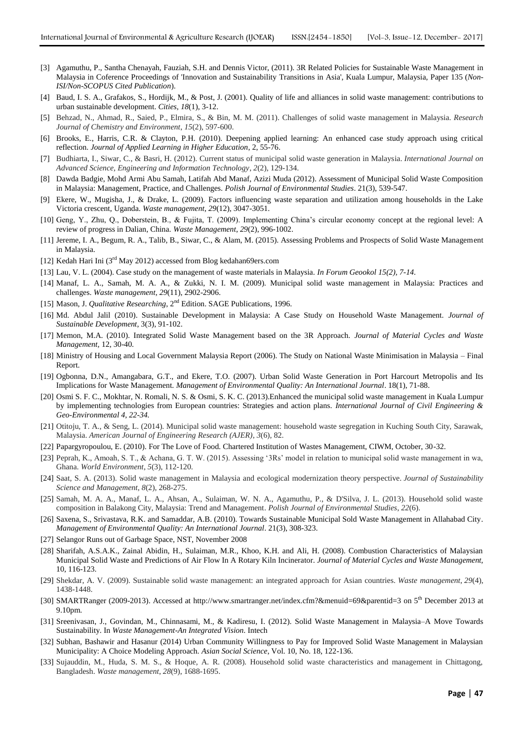- [3] Agamuthu, P., Santha Chenayah, Fauziah, S.H. and Dennis Victor, (2011). 3R Related Policies for Sustainable Waste Management in Malaysia in Coference Proceedings of 'Innovation and Sustainability Transitions in Asia', Kuala Lumpur, Malaysia, Paper 135 (*Non-ISI/Non-SCOPUS Cited Publication*).
- [4] Baud, I. S. A., Grafakos, S., Hordijk, M., & Post, J. (2001). Quality of life and alliances in solid waste management: contributions to urban sustainable development. *Cities*, *18*(1), 3-12.
- [5] Behzad, N., Ahmad, R., Saied, P., Elmira, S., & Bin, M. M. (2011). Challenges of solid waste management in Malaysia. *Research Journal of Chemistry and Environment*, *15*(2), 597-600.
- [6] Brooks, E., Harris, C.R. & Clayton, P.H. (2010). Deepening applied learning: An enhanced case study approach using critical reflection. *Journal of Applied Learning in Higher Education*, 2, 55-76.
- [7] Budhiarta, I., Siwar, C., & Basri, H. (2012). Current status of municipal solid waste generation in Malaysia. *International Journal on Advanced Science, Engineering and Information Technology*, *2*(2), 129-134.
- [8] Dawda Badgie, Mohd Armi Abu Samah, Latifah Abd Manaf, Azizi Muda (2012). Assessment of Municipal Solid Waste Composition in Malaysia: Management, Practice, and Challenges. *Polish Journal of Environmental Studies*. 21(3), 539-547.
- [9] Ekere, W., Mugisha, J., & Drake, L. (2009). Factors influencing waste separation and utilization among households in the Lake Victoria crescent, Uganda. *Waste management*, *29*(12), 3047-3051.
- [10] Geng, Y., Zhu, Q., Doberstein, B., & Fujita, T. (2009). Implementing China's circular economy concept at the regional level: A review of progress in Dalian, China. *Waste Management*, *29*(2), 996-1002.
- [11] Jereme, I. A., Begum, R. A., Talib, B., Siwar, C., & Alam, M. (2015). Assessing Problems and Prospects of Solid Waste Management in Malaysia.
- [12] Kedah Hari Ini (3rd May 2012) accessed from Blog kedahan69ers.com
- [13] Lau, V. L. (2004). Case study on the management of waste materials in Malaysia. *In Forum Geookol 15(2), 7-14.*
- [14] Manaf, L. A., Samah, M. A. A., & Zukki, N. I. M. (2009). Municipal solid waste management in Malaysia: Practices and challenges. *Waste management*, *29*(11), 2902-2906.
- [15] Mason, J. *Qualitative Researching*, 2nd Edition. SAGE Publications, 1996.
- [16] Md. Abdul Jalil (2010). Sustainable Development in Malaysia: A Case Study on Household Waste Management. *Journal of Sustainable Development*, 3(3), 91-102.
- [17] Memon, M.A. (2010). Integrated Solid Waste Management based on the 3R Approach. *Journal of Material Cycles and Waste Management,* 12, 30-40.
- [18] Ministry of Housing and Local Government Malaysia Report (2006). The Study on National Waste Minimisation in Malaysia Final Report.
- [19] Ogbonna, D.N., Amangabara, G.T., and Ekere, T.O. (2007). Urban Solid Waste Generation in Port Harcourt Metropolis and Its Implications for Waste Management. *Management of Environmental Quality: An International Journal*. 18(1), 71-88.
- [20] Osmi S. F. C., Mokhtar, N. Romali, N. S. & Osmi, S. K. C. (2013).Enhanced the municipal solid waste management in Kuala Lumpur by implementing technologies from European countries: Strategies and action plans. *International Journal of Civil Engineering & Geo-Environmental 4, 22-34.*
- [21] Otitoju, T. A., & Seng, L. (2014). Municipal solid waste management: household waste segregation in Kuching South City, Sarawak, Malaysia. *American Journal of Engineering Research (AJER)*, *3*(6), 82.
- [22] Papargyropoulou, E. (2010). For The Love of Food. Chartered Institution of Wastes Management, CIWM, October, 30-32.
- [23] Peprah, K., Amoah, S. T., & Achana, G. T. W. (2015). Assessing '3Rs' model in relation to municipal solid waste management in wa, Ghana. *World Environment*, *5*(3), 112-120.
- [24] Saat, S. A. (2013). Solid waste management in Malaysia and ecological modernization theory perspective. *Journal of Sustainability Science and Management*, *8*(2), 268-275.
- [25] Samah, M. A. A., Manaf, L. A., Ahsan, A., Sulaiman, W. N. A., Agamuthu, P., & D'Silva, J. L. (2013). Household solid waste composition in Balakong City, Malaysia: Trend and Management. *Polish Journal of Environmental Studies*, *22*(6).
- [26] Saxena, S., Srivastava, R.K. and Samaddar, A.B. (2010). Towards Sustainable Municipal Sold Waste Management in Allahabad City. *Management of Environmental Quality: An International Journal*. 21(3), 308-323.
- [27] Selangor Runs out of Garbage Space, NST, November 2008
- [28] Sharifah, A.S.A.K., Zainal Abidin, H., Sulaiman, M.R., Khoo, K.H. and Ali, H. (2008). Combustion Characteristics of Malaysian Municipal Solid Waste and Predictions of Air Flow In A Rotary Kiln Incinerator. *Journal of Material Cycles and Waste Management,*  10, 116-123.
- [29] Shekdar, A. V. (2009). Sustainable solid waste management: an integrated approach for Asian countries. *Waste management*, *29*(4), 1438-1448.
- [30] SMARTRanger (2009-2013). Accessed at<http://www.smartranger.net/index.cfm?&menuid=69&parentid=3> on 5<sup>th</sup> December 2013 at 9.10pm.
- [31] Sreenivasan, J., Govindan, M., Chinnasami, M., & Kadiresu, I. (2012). Solid Waste Management in Malaysia–A Move Towards Sustainability. In *Waste Management-An Integrated Vision*. Intech
- [32] Subhan, Bashawir and Hasanur (2014) Urban Community Willingness to Pay for Improved Solid Waste Management in Malaysian Municipality: A Choice Modeling Approach. *Asian Social Science*, Vol. 10, No. 18, 122-136.
- [33] Sujauddin, M., Huda, S. M. S., & Hoque, A. R. (2008). Household solid waste characteristics and management in Chittagong, Bangladesh. *Waste management*, *28*(9), 1688-1695.